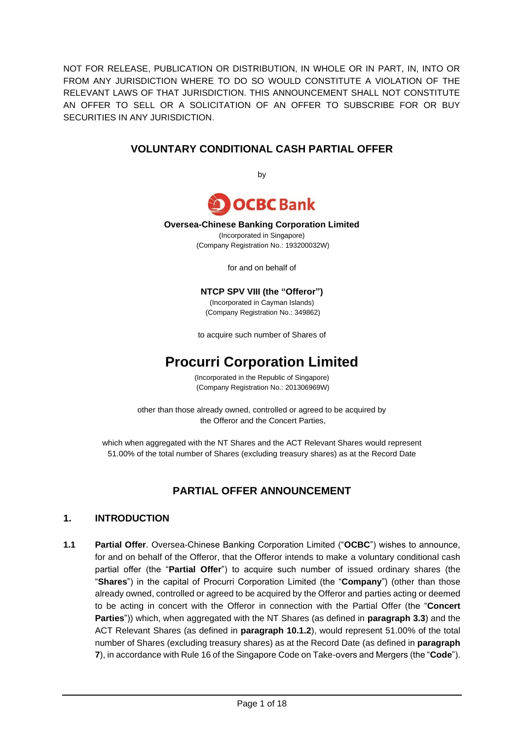NOT FOR RELEASE, PUBLICATION OR DISTRIBUTION, IN WHOLE OR IN PART, IN, INTO OR FROM ANY JURISDICTION WHERE TO DO SO WOULD CONSTITUTE A VIOLATION OF THE RELEVANT LAWS OF THAT JURISDICTION. THIS ANNOUNCEMENT SHALL NOT CONSTITUTE AN OFFER TO SELL OR A SOLICITATION OF AN OFFER TO SUBSCRIBE FOR OR BUY SECURITIES IN ANY JURISDICTION.

### **VOLUNTARY CONDITIONAL CASH PARTIAL OFFER**

by



#### **Oversea-Chinese Banking Corporation Limited**

(Incorporated in Singapore) (Company Registration No.: 193200032W)

for and on behalf of

#### **NTCP SPV VIII (the "Offeror")**

(Incorporated in Cayman Islands) (Company Registration No.: 349862)

to acquire such number of Shares of

# **Procurri Corporation Limited**

(Incorporated in the Republic of Singapore) (Company Registration No.: 201306969W)

other than those already owned, controlled or agreed to be acquired by the Offeror and the Concert Parties,

which when aggregated with the NT Shares and the ACT Relevant Shares would represent 51.00% of the total number of Shares (excluding treasury shares) as at the Record Date

### **PARTIAL OFFER ANNOUNCEMENT**

#### **1. INTRODUCTION**

**1.1 Partial Offer**. Oversea-Chinese Banking Corporation Limited ("**OCBC**") wishes to announce, for and on behalf of the Offeror, that the Offeror intends to make a voluntary conditional cash partial offer (the "**Partial Offer**") to acquire such number of issued ordinary shares (the "**Shares**") in the capital of Procurri Corporation Limited (the "**Company**") (other than those already owned, controlled or agreed to be acquired by the Offeror and parties acting or deemed to be acting in concert with the Offeror in connection with the Partial Offer (the "**Concert Parties**")) which, when aggregated with the NT Shares (as defined in **paragraph [3.3](#page-4-0)**) and the ACT Relevant Shares (as defined in **paragraph [10.1.2](#page-9-0)**), would represent 51.00% of the total number of Shares (excluding treasury shares) as at the Record Date (as defined in **paragraph [7](#page-5-0)**), in accordance with Rule 16 of the Singapore Code on Take-overs and Mergers (the "**Code**").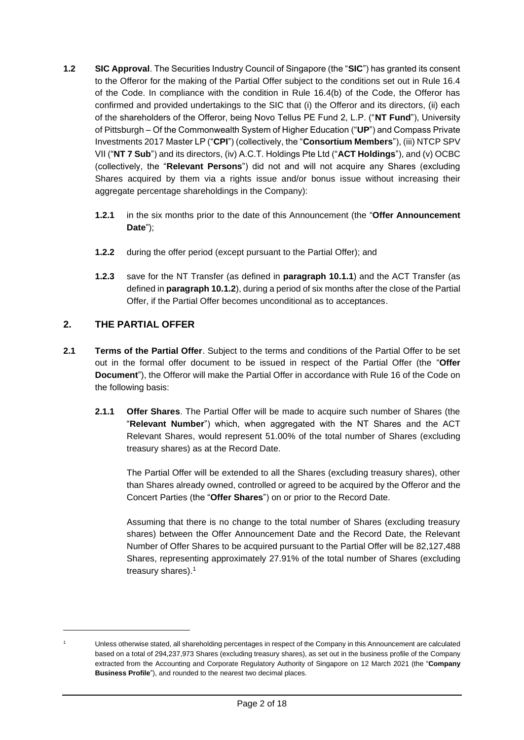- **1.2 SIC Approval**. The Securities Industry Council of Singapore (the "**SIC**") has granted its consent to the Offeror for the making of the Partial Offer subject to the conditions set out in Rule 16.4 of the Code. In compliance with the condition in Rule 16.4(b) of the Code, the Offeror has confirmed and provided undertakings to the SIC that (i) the Offeror and its directors, (ii) each of the shareholders of the Offeror, being Novo Tellus PE Fund 2, L.P. ("**NT Fund**"), University of Pittsburgh – Of the Commonwealth System of Higher Education ("**UP**") and Compass Private Investments 2017 Master LP ("**CPI**") (collectively, the "**Consortium Members**"), (iii) NTCP SPV VII ("**NT 7 Sub**") and its directors, (iv) A.C.T. Holdings Pte Ltd ("**ACT Holdings**"), and (v) OCBC (collectively, the "**Relevant Persons**") did not and will not acquire any Shares (excluding Shares acquired by them via a rights issue and/or bonus issue without increasing their aggregate percentage shareholdings in the Company):
	- **1.2.1** in the six months prior to the date of this Announcement (the "**Offer Announcement Date**");
	- **1.2.2** during the offer period (except pursuant to the Partial Offer); and
	- **1.2.3** save for the NT Transfer (as defined in **paragraph [10.1.1](#page-9-1)**) and the ACT Transfer (as defined in **paragraph [10.1.2](#page-9-0)**), during a period of six months after the close of the Partial Offer, if the Partial Offer becomes unconditional as to acceptances.

### **2. THE PARTIAL OFFER**

- **2.1 Terms of the Partial Offer**. Subject to the terms and conditions of the Partial Offer to be set out in the formal offer document to be issued in respect of the Partial Offer (the "**Offer Document**"), the Offeror will make the Partial Offer in accordance with Rule 16 of the Code on the following basis:
	- **2.1.1 Offer Shares**. The Partial Offer will be made to acquire such number of Shares (the "**Relevant Number**") which, when aggregated with the NT Shares and the ACT Relevant Shares, would represent 51.00% of the total number of Shares (excluding treasury shares) as at the Record Date.

The Partial Offer will be extended to all the Shares (excluding treasury shares), other than Shares already owned, controlled or agreed to be acquired by the Offeror and the Concert Parties (the "**Offer Shares**") on or prior to the Record Date.

Assuming that there is no change to the total number of Shares (excluding treasury shares) between the Offer Announcement Date and the Record Date, the Relevant Number of Offer Shares to be acquired pursuant to the Partial Offer will be 82,127,488 Shares, representing approximately 27.91% of the total number of Shares (excluding treasury shares). 1

<sup>1</sup> Unless otherwise stated, all shareholding percentages in respect of the Company in this Announcement are calculated based on a total of 294,237,973 Shares (excluding treasury shares), as set out in the business profile of the Company extracted from the Accounting and Corporate Regulatory Authority of Singapore on 12 March 2021 (the "**Company Business Profile**"), and rounded to the nearest two decimal places.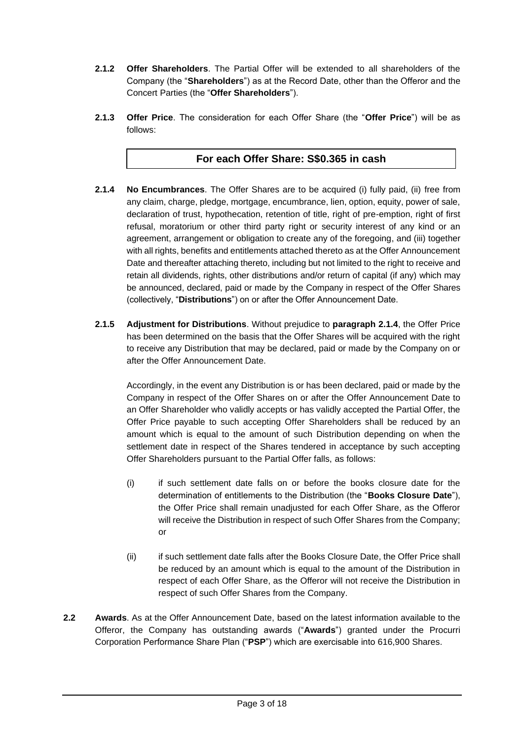- **2.1.2 Offer Shareholders**. The Partial Offer will be extended to all shareholders of the Company (the "**Shareholders**") as at the Record Date, other than the Offeror and the Concert Parties (the "**Offer Shareholders**").
- **2.1.3 Offer Price**. The consideration for each Offer Share (the "**Offer Price**") will be as follows:

### **For each Offer Share: S\$0.365 in cash**

- <span id="page-2-0"></span>**2.1.4 No Encumbrances**. The Offer Shares are to be acquired (i) fully paid, (ii) free from any claim, charge, pledge, mortgage, encumbrance, lien, option, equity, power of sale, declaration of trust, hypothecation, retention of title, right of pre-emption, right of first refusal, moratorium or other third party right or security interest of any kind or an agreement, arrangement or obligation to create any of the foregoing, and (iii) together with all rights, benefits and entitlements attached thereto as at the Offer Announcement Date and thereafter attaching thereto, including but not limited to the right to receive and retain all dividends, rights, other distributions and/or return of capital (if any) which may be announced, declared, paid or made by the Company in respect of the Offer Shares (collectively, "**Distributions**") on or after the Offer Announcement Date.
- **2.1.5 Adjustment for Distributions**. Without prejudice to **paragraph [2.1.4](#page-2-0)**, the Offer Price has been determined on the basis that the Offer Shares will be acquired with the right to receive any Distribution that may be declared, paid or made by the Company on or after the Offer Announcement Date.

Accordingly, in the event any Distribution is or has been declared, paid or made by the Company in respect of the Offer Shares on or after the Offer Announcement Date to an Offer Shareholder who validly accepts or has validly accepted the Partial Offer, the Offer Price payable to such accepting Offer Shareholders shall be reduced by an amount which is equal to the amount of such Distribution depending on when the settlement date in respect of the Shares tendered in acceptance by such accepting Offer Shareholders pursuant to the Partial Offer falls, as follows:

- (i) if such settlement date falls on or before the books closure date for the determination of entitlements to the Distribution (the "**Books Closure Date**"), the Offer Price shall remain unadjusted for each Offer Share, as the Offeror will receive the Distribution in respect of such Offer Shares from the Company; or
- (ii) if such settlement date falls after the Books Closure Date, the Offer Price shall be reduced by an amount which is equal to the amount of the Distribution in respect of each Offer Share, as the Offeror will not receive the Distribution in respect of such Offer Shares from the Company.
- **2.2 Awards**. As at the Offer Announcement Date, based on the latest information available to the Offeror, the Company has outstanding awards ("**Awards**") granted under the Procurri Corporation Performance Share Plan ("**PSP**") which are exercisable into 616,900 Shares.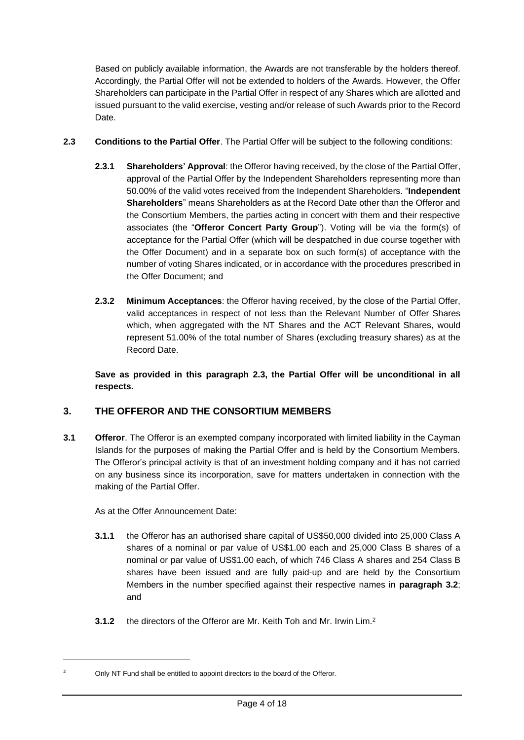<span id="page-3-0"></span>Based on publicly available information, the Awards are not transferable by the holders thereof. Accordingly, the Partial Offer will not be extended to holders of the Awards. However, the Offer Shareholders can participate in the Partial Offer in respect of any Shares which are allotted and issued pursuant to the valid exercise, vesting and/or release of such Awards prior to the Record Date.

- **2.3 Conditions to the Partial Offer**. The Partial Offer will be subject to the following conditions:
	- **2.3.1 Shareholders' Approval**: the Offeror having received, by the close of the Partial Offer, approval of the Partial Offer by the Independent Shareholders representing more than 50.00% of the valid votes received from the Independent Shareholders. "**Independent Shareholders**" means Shareholders as at the Record Date other than the Offeror and the Consortium Members, the parties acting in concert with them and their respective associates (the "**Offeror Concert Party Group**"). Voting will be via the form(s) of acceptance for the Partial Offer (which will be despatched in due course together with the Offer Document) and in a separate box on such form(s) of acceptance with the number of voting Shares indicated, or in accordance with the procedures prescribed in the Offer Document; and
	- **2.3.2 Minimum Acceptances**: the Offeror having received, by the close of the Partial Offer, valid acceptances in respect of not less than the Relevant Number of Offer Shares which, when aggregated with the NT Shares and the ACT Relevant Shares, would represent 51.00% of the total number of Shares (excluding treasury shares) as at the Record Date.

**Save as provided in this paragraph [2.3,](#page-3-0) the Partial Offer will be unconditional in all respects.**

### **3. THE OFFEROR AND THE CONSORTIUM MEMBERS**

**3.1 Offeror**. The Offeror is an exempted company incorporated with limited liability in the Cayman Islands for the purposes of making the Partial Offer and is held by the Consortium Members. The Offeror's principal activity is that of an investment holding company and it has not carried on any business since its incorporation, save for matters undertaken in connection with the making of the Partial Offer.

As at the Offer Announcement Date:

- **3.1.1** the Offeror has an authorised share capital of US\$50,000 divided into 25,000 Class A shares of a nominal or par value of US\$1.00 each and 25,000 Class B shares of a nominal or par value of US\$1.00 each, of which 746 Class A shares and 254 Class B shares have been issued and are fully paid-up and are held by the Consortium Members in the number specified against their respective names in **paragraph [3.2](#page-4-1)**; and
- **3.1.2** the directors of the Offeror are Mr. Keith Toh and Mr. Irwin Lim. 2

<sup>&</sup>lt;sup>2</sup> Only NT Fund shall be entitled to appoint directors to the board of the Offeror.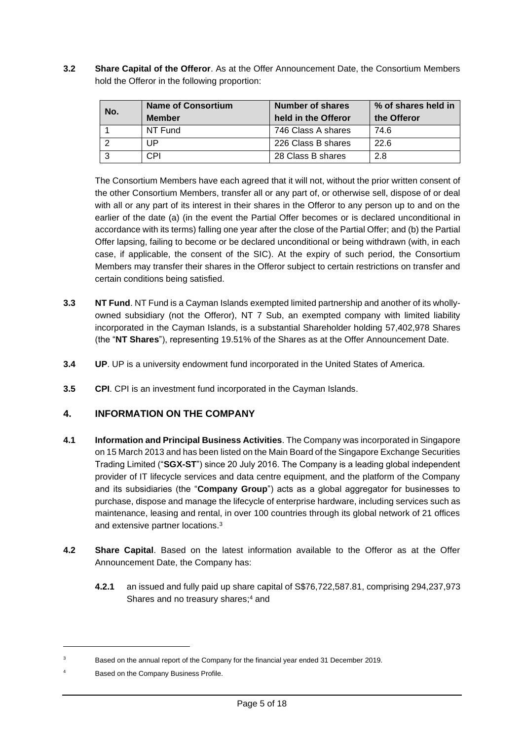<span id="page-4-1"></span>**3.2 Share Capital of the Offeror**. As at the Offer Announcement Date, the Consortium Members hold the Offeror in the following proportion:

| No. | <b>Name of Consortium</b> | Number of shares    | % of shares held in |  |
|-----|---------------------------|---------------------|---------------------|--|
|     | <b>Member</b>             | held in the Offeror | the Offeror         |  |
|     | NT Fund                   | 746 Class A shares  | 74.6                |  |
|     | UP                        | 226 Class B shares  | 22.6                |  |
|     | CPI                       | 28 Class B shares   | 2.8                 |  |

The Consortium Members have each agreed that it will not, without the prior written consent of the other Consortium Members, transfer all or any part of, or otherwise sell, dispose of or deal with all or any part of its interest in their shares in the Offeror to any person up to and on the earlier of the date (a) (in the event the Partial Offer becomes or is declared unconditional in accordance with its terms) falling one year after the close of the Partial Offer; and (b) the Partial Offer lapsing, failing to become or be declared unconditional or being withdrawn (with, in each case, if applicable, the consent of the SIC). At the expiry of such period, the Consortium Members may transfer their shares in the Offeror subject to certain restrictions on transfer and certain conditions being satisfied.

- <span id="page-4-0"></span>**3.3 NT Fund**. NT Fund is a Cayman Islands exempted limited partnership and another of its whollyowned subsidiary (not the Offeror), NT 7 Sub, an exempted company with limited liability incorporated in the Cayman Islands, is a substantial Shareholder holding 57,402,978 Shares (the "**NT Shares**"), representing 19.51% of the Shares as at the Offer Announcement Date.
- **3.4 UP**. UP is a university endowment fund incorporated in the United States of America.
- **3.5 CPI**. CPI is an investment fund incorporated in the Cayman Islands.

### **4. INFORMATION ON THE COMPANY**

- **4.1 Information and Principal Business Activities**. The Company was incorporated in Singapore on 15 March 2013 and has been listed on the Main Board of the Singapore Exchange Securities Trading Limited ("**SGX-ST**") since 20 July 2016. The Company is a leading global independent provider of IT lifecycle services and data centre equipment, and the platform of the Company and its subsidiaries (the "**Company Group**") acts as a global aggregator for businesses to purchase, dispose and manage the lifecycle of enterprise hardware, including services such as maintenance, leasing and rental, in over 100 countries through its global network of 21 offices and extensive partner locations.<sup>3</sup>
- <span id="page-4-2"></span>**4.2 Share Capital**. Based on the latest information available to the Offeror as at the Offer Announcement Date, the Company has:
	- **4.2.1** an issued and fully paid up share capital of S\$76,722,587.81, comprising 294,237,973 Shares and no treasury shares; <sup>4</sup> and

<sup>&</sup>lt;sup>3</sup> Based on the annual report of the Company for the financial year ended 31 December 2019.

<sup>4</sup> Based on the Company Business Profile.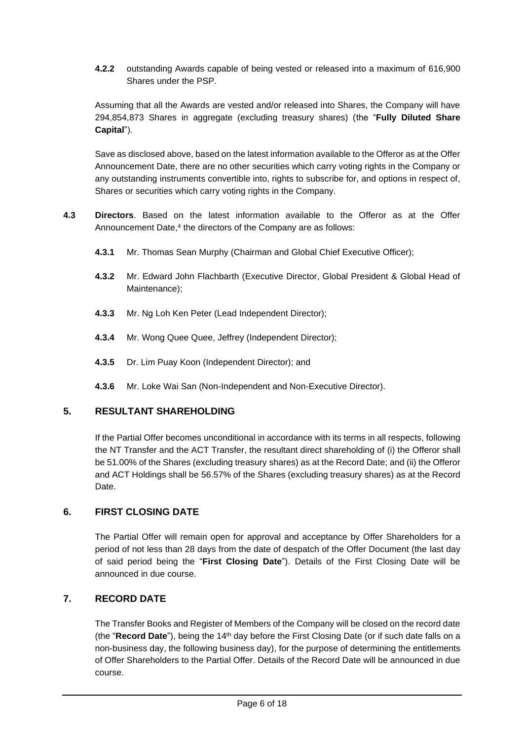**4.2.2** outstanding Awards capable of being vested or released into a maximum of 616,900 Shares under the PSP.

Assuming that all the Awards are vested and/or released into Shares, the Company will have 294,854,873 Shares in aggregate (excluding treasury shares) (the "**Fully Diluted Share Capital**").

Save as disclosed above, based on the latest information available to the Offeror as at the Offer Announcement Date, there are no other securities which carry voting rights in the Company or any outstanding instruments convertible into, rights to subscribe for, and options in respect of, Shares or securities which carry voting rights in the Company.

- **4.3 Directors**. Based on the latest information available to the Offeror as at the Offer Announcement Date,<sup>4</sup> the directors of the Company are as follows:
	- **4.3.1** Mr. Thomas Sean Murphy (Chairman and Global Chief Executive Officer);
	- **4.3.2** Mr. Edward John Flachbarth (Executive Director, Global President & Global Head of Maintenance);
	- **4.3.3** Mr. Ng Loh Ken Peter (Lead Independent Director);
	- **4.3.4** Mr. Wong Quee Quee, Jeffrey (Independent Director);
	- **4.3.5** Dr. Lim Puay Koon (Independent Director); and
	- **4.3.6** Mr. Loke Wai San (Non-Independent and Non-Executive Director).

#### **5. RESULTANT SHAREHOLDING**

If the Partial Offer becomes unconditional in accordance with its terms in all respects, following the NT Transfer and the ACT Transfer, the resultant direct shareholding of (i) the Offeror shall be 51.00% of the Shares (excluding treasury shares) as at the Record Date; and (ii) the Offeror and ACT Holdings shall be 56.57% of the Shares (excluding treasury shares) as at the Record Date.

#### **6. FIRST CLOSING DATE**

The Partial Offer will remain open for approval and acceptance by Offer Shareholders for a period of not less than 28 days from the date of despatch of the Offer Document (the last day of said period being the "**First Closing Date**"). Details of the First Closing Date will be announced in due course.

#### <span id="page-5-0"></span>**7. RECORD DATE**

The Transfer Books and Register of Members of the Company will be closed on the record date (the "**Record Date**"), being the 14th day before the First Closing Date (or if such date falls on a non-business day, the following business day), for the purpose of determining the entitlements of Offer Shareholders to the Partial Offer. Details of the Record Date will be announced in due course.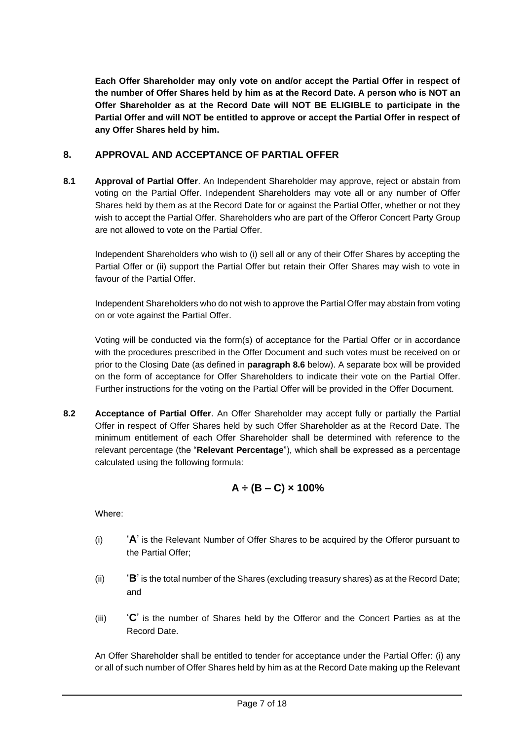**Each Offer Shareholder may only vote on and/or accept the Partial Offer in respect of the number of Offer Shares held by him as at the Record Date. A person who is NOT an Offer Shareholder as at the Record Date will NOT BE ELIGIBLE to participate in the Partial Offer and will NOT be entitled to approve or accept the Partial Offer in respect of any Offer Shares held by him.**

#### **8. APPROVAL AND ACCEPTANCE OF PARTIAL OFFER**

**8.1 Approval of Partial Offer**. An Independent Shareholder may approve, reject or abstain from voting on the Partial Offer. Independent Shareholders may vote all or any number of Offer Shares held by them as at the Record Date for or against the Partial Offer, whether or not they wish to accept the Partial Offer. Shareholders who are part of the Offeror Concert Party Group are not allowed to vote on the Partial Offer.

Independent Shareholders who wish to (i) sell all or any of their Offer Shares by accepting the Partial Offer or (ii) support the Partial Offer but retain their Offer Shares may wish to vote in favour of the Partial Offer.

Independent Shareholders who do not wish to approve the Partial Offer may abstain from voting on or vote against the Partial Offer.

Voting will be conducted via the form(s) of acceptance for the Partial Offer or in accordance with the procedures prescribed in the Offer Document and such votes must be received on or prior to the Closing Date (as defined in **paragraph [8.6](#page-8-0)** below). A separate box will be provided on the form of acceptance for Offer Shareholders to indicate their vote on the Partial Offer. Further instructions for the voting on the Partial Offer will be provided in the Offer Document.

**8.2 Acceptance of Partial Offer**. An Offer Shareholder may accept fully or partially the Partial Offer in respect of Offer Shares held by such Offer Shareholder as at the Record Date. The minimum entitlement of each Offer Shareholder shall be determined with reference to the relevant percentage (the "**Relevant Percentage**"), which shall be expressed as a percentage calculated using the following formula:

## **A ÷ (B – C) × 100%**

Where:

- (i) '**A**' is the Relevant Number of Offer Shares to be acquired by the Offeror pursuant to the Partial Offer;
- (ii) '**B**' is the total number of the Shares (excluding treasury shares) as at the Record Date; and
- (iii) '**C**' is the number of Shares held by the Offeror and the Concert Parties as at the Record Date.

An Offer Shareholder shall be entitled to tender for acceptance under the Partial Offer: (i) any or all of such number of Offer Shares held by him as at the Record Date making up the Relevant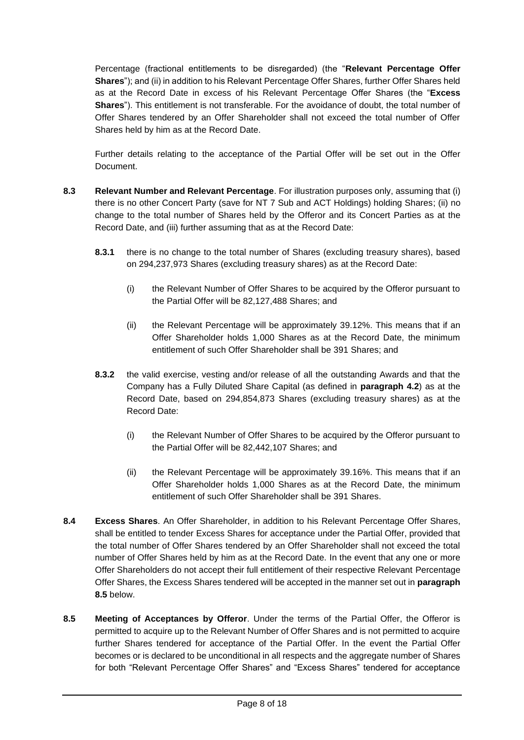Percentage (fractional entitlements to be disregarded) (the "**Relevant Percentage Offer Shares**"); and (ii) in addition to his Relevant Percentage Offer Shares, further Offer Shares held as at the Record Date in excess of his Relevant Percentage Offer Shares (the "**Excess Shares**"). This entitlement is not transferable. For the avoidance of doubt, the total number of Offer Shares tendered by an Offer Shareholder shall not exceed the total number of Offer Shares held by him as at the Record Date.

Further details relating to the acceptance of the Partial Offer will be set out in the Offer Document.

- **8.3 Relevant Number and Relevant Percentage**. For illustration purposes only, assuming that (i) there is no other Concert Party (save for NT 7 Sub and ACT Holdings) holding Shares; (ii) no change to the total number of Shares held by the Offeror and its Concert Parties as at the Record Date, and (iii) further assuming that as at the Record Date:
	- **8.3.1** there is no change to the total number of Shares (excluding treasury shares), based on 294,237,973 Shares (excluding treasury shares) as at the Record Date:
		- (i) the Relevant Number of Offer Shares to be acquired by the Offeror pursuant to the Partial Offer will be 82,127,488 Shares; and
		- (ii) the Relevant Percentage will be approximately 39.12%. This means that if an Offer Shareholder holds 1,000 Shares as at the Record Date, the minimum entitlement of such Offer Shareholder shall be 391 Shares; and
	- **8.3.2** the valid exercise, vesting and/or release of all the outstanding Awards and that the Company has a Fully Diluted Share Capital (as defined in **paragraph [4.2](#page-4-2)**) as at the Record Date, based on 294,854,873 Shares (excluding treasury shares) as at the Record Date:
		- (i) the Relevant Number of Offer Shares to be acquired by the Offeror pursuant to the Partial Offer will be 82,442,107 Shares; and
		- (ii) the Relevant Percentage will be approximately 39.16%. This means that if an Offer Shareholder holds 1,000 Shares as at the Record Date, the minimum entitlement of such Offer Shareholder shall be 391 Shares.
- **8.4 Excess Shares**. An Offer Shareholder, in addition to his Relevant Percentage Offer Shares, shall be entitled to tender Excess Shares for acceptance under the Partial Offer, provided that the total number of Offer Shares tendered by an Offer Shareholder shall not exceed the total number of Offer Shares held by him as at the Record Date. In the event that any one or more Offer Shareholders do not accept their full entitlement of their respective Relevant Percentage Offer Shares, the Excess Shares tendered will be accepted in the manner set out in **paragraph [8.5](#page-7-0)** below.
- <span id="page-7-0"></span>**8.5 Meeting of Acceptances by Offeror**. Under the terms of the Partial Offer, the Offeror is permitted to acquire up to the Relevant Number of Offer Shares and is not permitted to acquire further Shares tendered for acceptance of the Partial Offer. In the event the Partial Offer becomes or is declared to be unconditional in all respects and the aggregate number of Shares for both "Relevant Percentage Offer Shares" and "Excess Shares" tendered for acceptance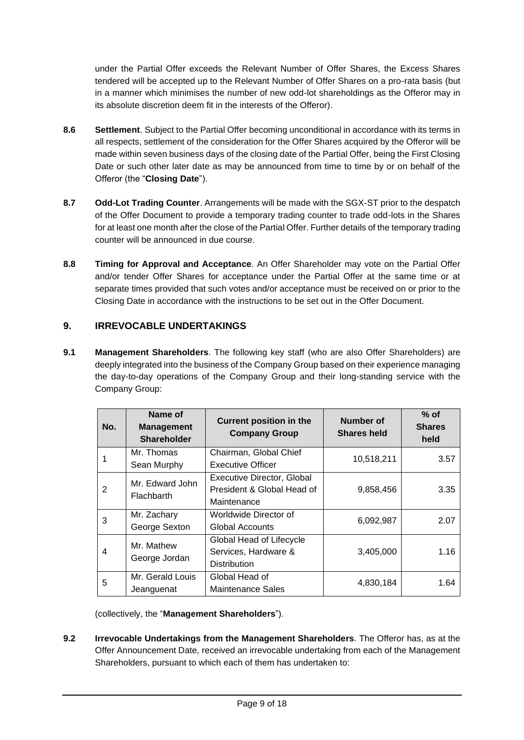under the Partial Offer exceeds the Relevant Number of Offer Shares, the Excess Shares tendered will be accepted up to the Relevant Number of Offer Shares on a pro-rata basis (but in a manner which minimises the number of new odd-lot shareholdings as the Offeror may in its absolute discretion deem fit in the interests of the Offeror).

- <span id="page-8-0"></span>**8.6 Settlement**. Subject to the Partial Offer becoming unconditional in accordance with its terms in all respects, settlement of the consideration for the Offer Shares acquired by the Offeror will be made within seven business days of the closing date of the Partial Offer, being the First Closing Date or such other later date as may be announced from time to time by or on behalf of the Offeror (the "**Closing Date**").
- **8.7 Odd-Lot Trading Counter**. Arrangements will be made with the SGX-ST prior to the despatch of the Offer Document to provide a temporary trading counter to trade odd-lots in the Shares for at least one month after the close of the Partial Offer. Further details of the temporary trading counter will be announced in due course.
- **8.8 Timing for Approval and Acceptance**. An Offer Shareholder may vote on the Partial Offer and/or tender Offer Shares for acceptance under the Partial Offer at the same time or at separate times provided that such votes and/or acceptance must be received on or prior to the Closing Date in accordance with the instructions to be set out in the Offer Document.

### **9. IRREVOCABLE UNDERTAKINGS**

<span id="page-8-1"></span>**9.1 Management Shareholders**. The following key staff (who are also Offer Shareholders) are deeply integrated into the business of the Company Group based on their experience managing the day-to-day operations of the Company Group and their long-standing service with the Company Group:

| No. | Name of<br><b>Management</b><br><b>Shareholder</b> | <b>Current position in the</b><br><b>Company Group</b>                  | <b>Number of</b><br><b>Shares held</b> | $%$ of<br><b>Shares</b><br>held |
|-----|----------------------------------------------------|-------------------------------------------------------------------------|----------------------------------------|---------------------------------|
|     | Mr. Thomas<br>Sean Murphy                          | Chairman, Global Chief<br><b>Executive Officer</b>                      | 10,518,211                             | 3.57                            |
| 2   | Mr. Edward John<br>Flachbarth                      | Executive Director, Global<br>President & Global Head of<br>Maintenance | 9,858,456                              | 3.35                            |
| 3   | Mr. Zachary<br>George Sexton                       | Worldwide Director of<br>Global Accounts                                | 6,092,987                              | 2.07                            |
| 4   | Mr. Mathew<br>George Jordan                        | Global Head of Lifecycle<br>Services, Hardware &<br><b>Distribution</b> | 3,405,000                              | 1.16                            |
| 5   | Mr. Gerald Louis<br>Jeanguenat                     | Global Head of<br><b>Maintenance Sales</b>                              | 4,830,184                              | 1.64                            |

(collectively, the "**Management Shareholders**").

<span id="page-8-2"></span>**9.2 Irrevocable Undertakings from the Management Shareholders**. The Offeror has, as at the Offer Announcement Date, received an irrevocable undertaking from each of the Management Shareholders, pursuant to which each of them has undertaken to: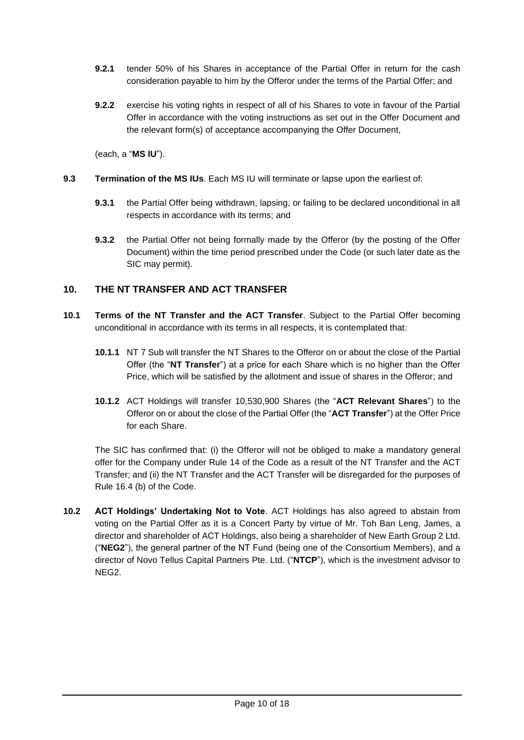- **9.2.1** tender 50% of his Shares in acceptance of the Partial Offer in return for the cash consideration payable to him by the Offeror under the terms of the Partial Offer; and
- **9.2.2** exercise his voting rights in respect of all of his Shares to vote in favour of the Partial Offer in accordance with the voting instructions as set out in the Offer Document and the relevant form(s) of acceptance accompanying the Offer Document,

(each, a "**MS IU**").

- <span id="page-9-2"></span>**9.3 Termination of the MS IUs**. Each MS IU will terminate or lapse upon the earliest of:
	- **9.3.1** the Partial Offer being withdrawn, lapsing, or failing to be declared unconditional in all respects in accordance with its terms; and
	- **9.3.2** the Partial Offer not being formally made by the Offeror (by the posting of the Offer Document) within the time period prescribed under the Code (or such later date as the SIC may permit).

#### **10. THE NT TRANSFER AND ACT TRANSFER**

- <span id="page-9-1"></span>**10.1 Terms of the NT Transfer and the ACT Transfer**. Subject to the Partial Offer becoming unconditional in accordance with its terms in all respects, it is contemplated that:
	- **10.1.1** NT 7 Sub will transfer the NT Shares to the Offeror on or about the close of the Partial Offer (the "**NT Transfer**") at a price for each Share which is no higher than the Offer Price, which will be satisfied by the allotment and issue of shares in the Offeror; and
	- **10.1.2** ACT Holdings will transfer 10,530,900 Shares (the "**ACT Relevant Shares**") to the Offeror on or about the close of the Partial Offer (the "**ACT Transfer**") at the Offer Price for each Share.

<span id="page-9-0"></span>The SIC has confirmed that: (i) the Offeror will not be obliged to make a mandatory general offer for the Company under Rule 14 of the Code as a result of the NT Transfer and the ACT Transfer; and (ii) the NT Transfer and the ACT Transfer will be disregarded for the purposes of Rule 16.4 (b) of the Code.

**10.2 ACT Holdings' Undertaking Not to Vote**. ACT Holdings has also agreed to abstain from voting on the Partial Offer as it is a Concert Party by virtue of Mr. Toh Ban Leng, James, a director and shareholder of ACT Holdings, also being a shareholder of New Earth Group 2 Ltd. ("**NEG2**"), the general partner of the NT Fund (being one of the Consortium Members), and a director of Novo Tellus Capital Partners Pte. Ltd. ("**NTCP**"), which is the investment advisor to NEG2.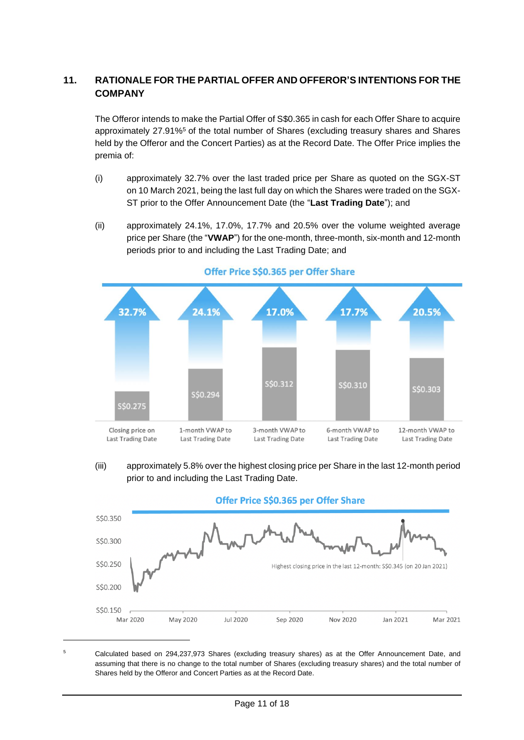### **11. RATIONALE FOR THE PARTIAL OFFER AND OFFEROR'S INTENTIONS FOR THE COMPANY**

The Offeror intends to make the Partial Offer of S\$0.365 in cash for each Offer Share to acquire approximately 27.91%<sup>5</sup> of the total number of Shares (excluding treasury shares and Shares held by the Offeror and the Concert Parties) as at the Record Date. The Offer Price implies the premia of:

- (i) approximately 32.7% over the last traded price per Share as quoted on the SGX-ST on 10 March 2021, being the last full day on which the Shares were traded on the SGX-ST prior to the Offer Announcement Date (the "**Last Trading Date**"); and
- (ii) approximately 24.1%, 17.0%, 17.7% and 20.5% over the volume weighted average price per Share (the "**VWAP**") for the one-month, three-month, six-month and 12-month periods prior to and including the Last Trading Date; and



#### Offer Price S\$0.365 per Offer Share

(iii) approximately 5.8% over the highest closing price per Share in the last 12-month period prior to and including the Last Trading Date.



<sup>5</sup> Calculated based on 294,237,973 Shares (excluding treasury shares) as at the Offer Announcement Date, and assuming that there is no change to the total number of Shares (excluding treasury shares) and the total number of Shares held by the Offeror and Concert Parties as at the Record Date.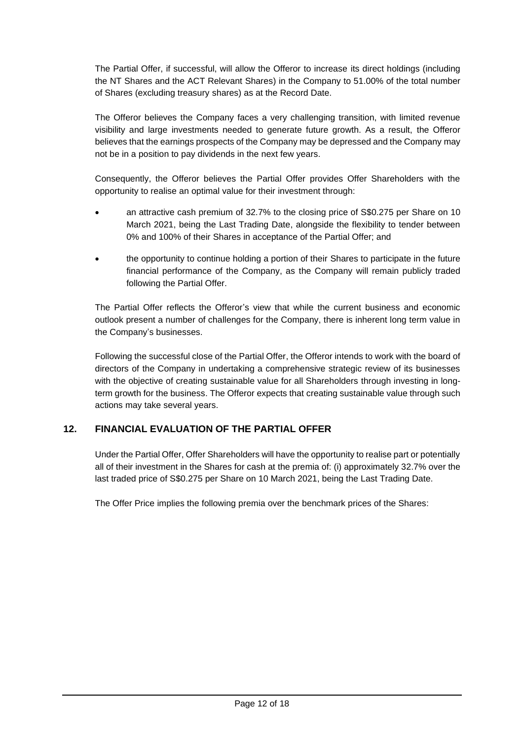The Partial Offer, if successful, will allow the Offeror to increase its direct holdings (including the NT Shares and the ACT Relevant Shares) in the Company to 51.00% of the total number of Shares (excluding treasury shares) as at the Record Date.

The Offeror believes the Company faces a very challenging transition, with limited revenue visibility and large investments needed to generate future growth. As a result, the Offeror believes that the earnings prospects of the Company may be depressed and the Company may not be in a position to pay dividends in the next few years.

Consequently, the Offeror believes the Partial Offer provides Offer Shareholders with the opportunity to realise an optimal value for their investment through:

- an attractive cash premium of 32.7% to the closing price of S\$0.275 per Share on 10 March 2021, being the Last Trading Date, alongside the flexibility to tender between 0% and 100% of their Shares in acceptance of the Partial Offer; and
- the opportunity to continue holding a portion of their Shares to participate in the future financial performance of the Company, as the Company will remain publicly traded following the Partial Offer.

The Partial Offer reflects the Offeror's view that while the current business and economic outlook present a number of challenges for the Company, there is inherent long term value in the Company's businesses.

Following the successful close of the Partial Offer, the Offeror intends to work with the board of directors of the Company in undertaking a comprehensive strategic review of its businesses with the objective of creating sustainable value for all Shareholders through investing in longterm growth for the business. The Offeror expects that creating sustainable value through such actions may take several years.

### **12. FINANCIAL EVALUATION OF THE PARTIAL OFFER**

Under the Partial Offer, Offer Shareholders will have the opportunity to realise part or potentially all of their investment in the Shares for cash at the premia of: (i) approximately 32.7% over the last traded price of S\$0.275 per Share on 10 March 2021, being the Last Trading Date.

The Offer Price implies the following premia over the benchmark prices of the Shares: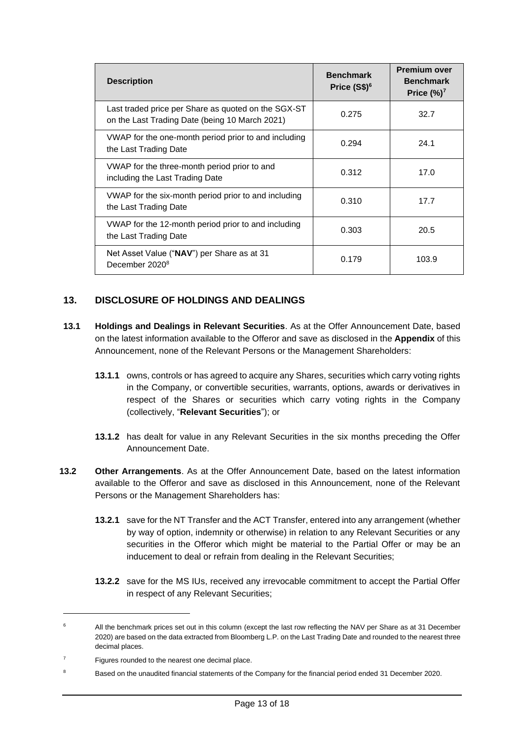| <b>Description</b>                                                                                    | <b>Benchmark</b><br>Price $(S$)^6$ | <b>Premium over</b><br><b>Benchmark</b><br>Price $(\%)^7$ |
|-------------------------------------------------------------------------------------------------------|------------------------------------|-----------------------------------------------------------|
| Last traded price per Share as quoted on the SGX-ST<br>on the Last Trading Date (being 10 March 2021) | 0.275                              | 32.7                                                      |
| VWAP for the one-month period prior to and including<br>the Last Trading Date                         | 0.294                              | 24.1                                                      |
| VWAP for the three-month period prior to and<br>including the Last Trading Date                       | 0.312                              | 17.0                                                      |
| VWAP for the six-month period prior to and including<br>the Last Trading Date                         | 0.310                              | 17.7                                                      |
| VWAP for the 12-month period prior to and including<br>the Last Trading Date                          | 0.303                              | 20.5                                                      |
| Net Asset Value ("NAV") per Share as at 31<br>December 2020 <sup>8</sup>                              | 0.179                              | 103.9                                                     |

### **13. DISCLOSURE OF HOLDINGS AND DEALINGS**

- **13.1 Holdings and Dealings in Relevant Securities**. As at the Offer Announcement Date, based on the latest information available to the Offeror and save as disclosed in the **Appendix** of this Announcement, none of the Relevant Persons or the Management Shareholders:
	- **13.1.1** owns, controls or has agreed to acquire any Shares, securities which carry voting rights in the Company, or convertible securities, warrants, options, awards or derivatives in respect of the Shares or securities which carry voting rights in the Company (collectively, "**Relevant Securities**"); or
	- **13.1.2** has dealt for value in any Relevant Securities in the six months preceding the Offer Announcement Date.
- **13.2 Other Arrangements**. As at the Offer Announcement Date, based on the latest information available to the Offeror and save as disclosed in this Announcement, none of the Relevant Persons or the Management Shareholders has:
	- **13.2.1** save for the NT Transfer and the ACT Transfer, entered into any arrangement (whether by way of option, indemnity or otherwise) in relation to any Relevant Securities or any securities in the Offeror which might be material to the Partial Offer or may be an inducement to deal or refrain from dealing in the Relevant Securities;
	- **13.2.2** save for the MS IUs, received any irrevocable commitment to accept the Partial Offer in respect of any Relevant Securities;

<sup>&</sup>lt;sup>6</sup> All the benchmark prices set out in this column (except the last row reflecting the NAV per Share as at 31 December 2020) are based on the data extracted from Bloomberg L.P. on the Last Trading Date and rounded to the nearest three decimal places.

Figures rounded to the nearest one decimal place.

<sup>8</sup> Based on the unaudited financial statements of the Company for the financial period ended 31 December 2020.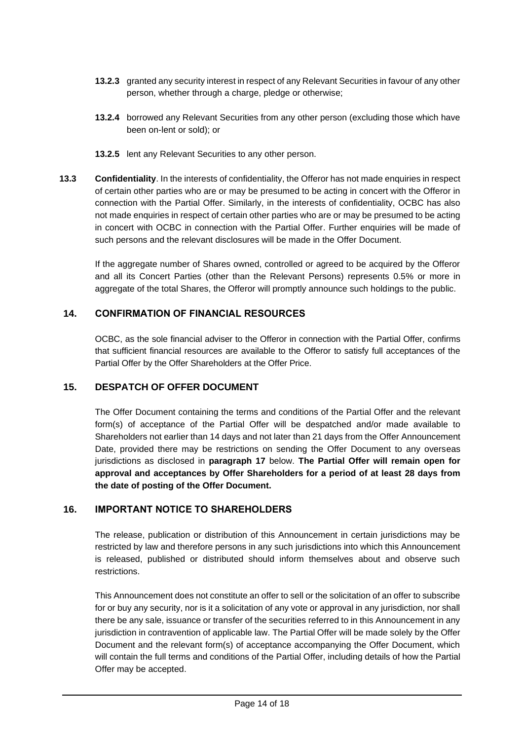- **13.2.3** granted any security interest in respect of any Relevant Securities in favour of any other person, whether through a charge, pledge or otherwise;
- **13.2.4** borrowed any Relevant Securities from any other person (excluding those which have been on-lent or sold); or
- **13.2.5** lent any Relevant Securities to any other person.
- **13.3 Confidentiality**. In the interests of confidentiality, the Offeror has not made enquiries in respect of certain other parties who are or may be presumed to be acting in concert with the Offeror in connection with the Partial Offer. Similarly, in the interests of confidentiality, OCBC has also not made enquiries in respect of certain other parties who are or may be presumed to be acting in concert with OCBC in connection with the Partial Offer. Further enquiries will be made of such persons and the relevant disclosures will be made in the Offer Document.

If the aggregate number of Shares owned, controlled or agreed to be acquired by the Offeror and all its Concert Parties (other than the Relevant Persons) represents 0.5% or more in aggregate of the total Shares, the Offeror will promptly announce such holdings to the public.

#### **14. CONFIRMATION OF FINANCIAL RESOURCES**

OCBC, as the sole financial adviser to the Offeror in connection with the Partial Offer, confirms that sufficient financial resources are available to the Offeror to satisfy full acceptances of the Partial Offer by the Offer Shareholders at the Offer Price.

#### **15. DESPATCH OF OFFER DOCUMENT**

The Offer Document containing the terms and conditions of the Partial Offer and the relevant form(s) of acceptance of the Partial Offer will be despatched and/or made available to Shareholders not earlier than 14 days and not later than 21 days from the Offer Announcement Date, provided there may be restrictions on sending the Offer Document to any overseas jurisdictions as disclosed in **paragraph [17](#page-14-0)** below. **The Partial Offer will remain open for approval and acceptances by Offer Shareholders for a period of at least 28 days from the date of posting of the Offer Document.**

#### **16. IMPORTANT NOTICE TO SHAREHOLDERS**

The release, publication or distribution of this Announcement in certain jurisdictions may be restricted by law and therefore persons in any such jurisdictions into which this Announcement is released, published or distributed should inform themselves about and observe such restrictions.

This Announcement does not constitute an offer to sell or the solicitation of an offer to subscribe for or buy any security, nor is it a solicitation of any vote or approval in any jurisdiction, nor shall there be any sale, issuance or transfer of the securities referred to in this Announcement in any jurisdiction in contravention of applicable law. The Partial Offer will be made solely by the Offer Document and the relevant form(s) of acceptance accompanying the Offer Document, which will contain the full terms and conditions of the Partial Offer, including details of how the Partial Offer may be accepted.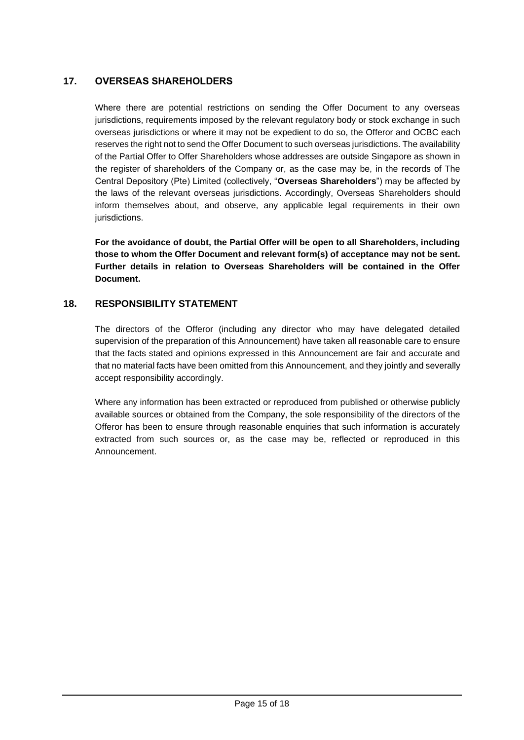### <span id="page-14-0"></span>**17. OVERSEAS SHAREHOLDERS**

Where there are potential restrictions on sending the Offer Document to any overseas jurisdictions, requirements imposed by the relevant regulatory body or stock exchange in such overseas jurisdictions or where it may not be expedient to do so, the Offeror and OCBC each reserves the right not to send the Offer Document to such overseas jurisdictions. The availability of the Partial Offer to Offer Shareholders whose addresses are outside Singapore as shown in the register of shareholders of the Company or, as the case may be, in the records of The Central Depository (Pte) Limited (collectively, "**Overseas Shareholders**") may be affected by the laws of the relevant overseas jurisdictions. Accordingly, Overseas Shareholders should inform themselves about, and observe, any applicable legal requirements in their own jurisdictions.

**For the avoidance of doubt, the Partial Offer will be open to all Shareholders, including those to whom the Offer Document and relevant form(s) of acceptance may not be sent. Further details in relation to Overseas Shareholders will be contained in the Offer Document.**

#### **18. RESPONSIBILITY STATEMENT**

The directors of the Offeror (including any director who may have delegated detailed supervision of the preparation of this Announcement) have taken all reasonable care to ensure that the facts stated and opinions expressed in this Announcement are fair and accurate and that no material facts have been omitted from this Announcement, and they jointly and severally accept responsibility accordingly.

Where any information has been extracted or reproduced from published or otherwise publicly available sources or obtained from the Company, the sole responsibility of the directors of the Offeror has been to ensure through reasonable enquiries that such information is accurately extracted from such sources or, as the case may be, reflected or reproduced in this Announcement.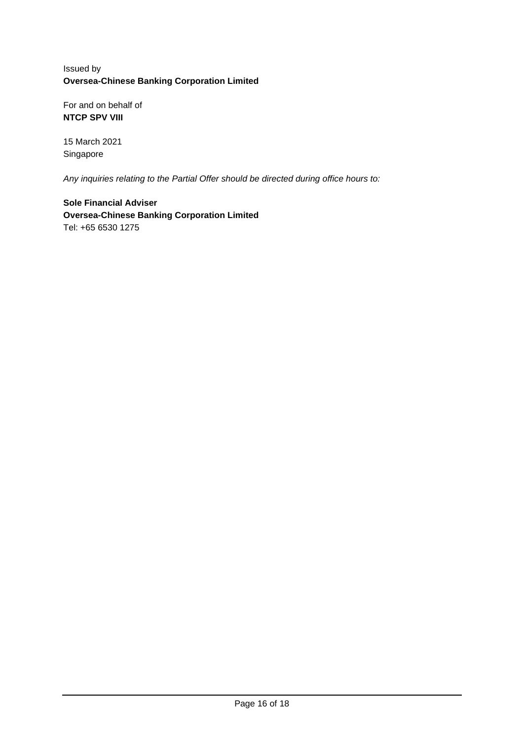### Issued by **Oversea-Chinese Banking Corporation Limited**

For and on behalf of **NTCP SPV VIII** 

15 March 2021 Singapore

*Any inquiries relating to the Partial Offer should be directed during office hours to:*

**Sole Financial Adviser Oversea-Chinese Banking Corporation Limited** Tel: +65 6530 1275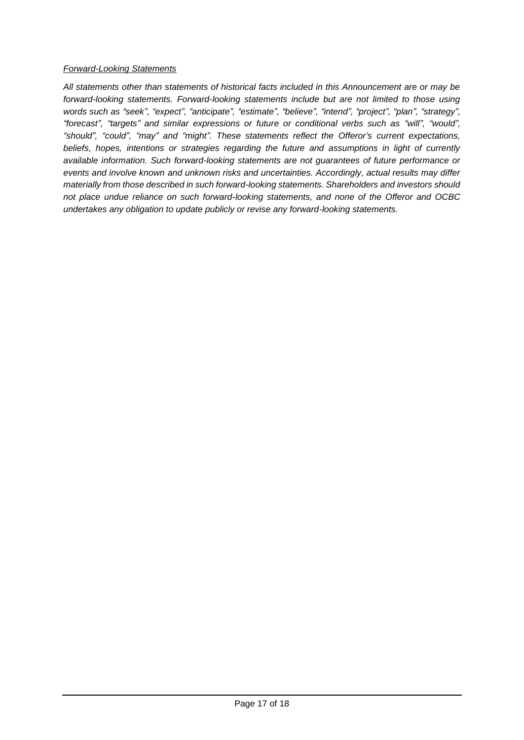#### *Forward-Looking Statements*

*All statements other than statements of historical facts included in this Announcement are or may be forward-looking statements. Forward-looking statements include but are not limited to those using words such as "seek", "expect", "anticipate", "estimate", "believe", "intend", "project", "plan", "strategy", "forecast", "targets" and similar expressions or future or conditional verbs such as "will", "would", "should", "could", "may" and "might". These statements reflect the Offeror's current expectations, beliefs, hopes, intentions or strategies regarding the future and assumptions in light of currently available information. Such forward-looking statements are not guarantees of future performance or events and involve known and unknown risks and uncertainties. Accordingly, actual results may differ materially from those described in such forward-looking statements. Shareholders and investors should not place undue reliance on such forward-looking statements, and none of the Offeror and OCBC undertakes any obligation to update publicly or revise any forward-looking statements.*